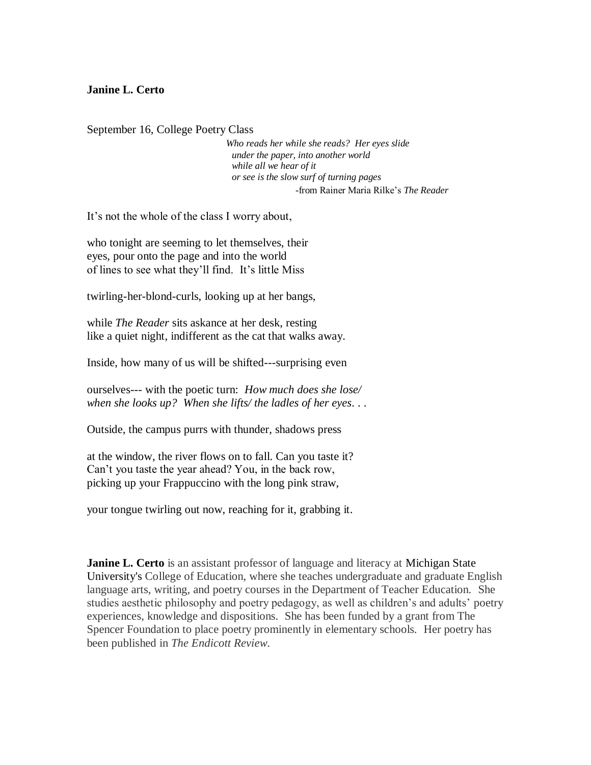## **Janine L. Certo**

September 16, College Poetry Class

 *Who reads her while she reads? Her eyes slide under the paper, into another world while all we hear of it or see is the slow surf of turning pages* -from Rainer Maria Rilke's *The Reader*

It's not the whole of the class I worry about,

who tonight are seeming to let themselves, their eyes, pour onto the page and into the world of lines to see what they'll find. It's little Miss

twirling-her-blond-curls, looking up at her bangs,

while *The Reader* sits askance at her desk, resting like a quiet night, indifferent as the cat that walks away.

Inside, how many of us will be shifted---surprising even

ourselves--- with the poetic turn: *How much does she lose/ when she looks up? When she lifts/ the ladles of her eyes*. . .

Outside, the campus purrs with thunder, shadows press

at the window, the river flows on to fall. Can you taste it? Can't you taste the year ahead? You, in the back row, picking up your Frappuccino with the long pink straw,

your tongue twirling out now, reaching for it, grabbing it.

**Janine L. Certo** is an assistant professor of language and literacy at Michigan State [University's](http://www.msu.edu/) College of Education, where she teaches undergraduate and graduate English language arts, writing, and poetry courses in the Department of Teacher Education. She studies aesthetic philosophy and poetry pedagogy, as well as children's and adults' poetry experiences, knowledge and dispositions. She has been funded by a grant from The Spencer Foundation to place poetry prominently in elementary schools. Her poetry has been published in *The Endicott Review*.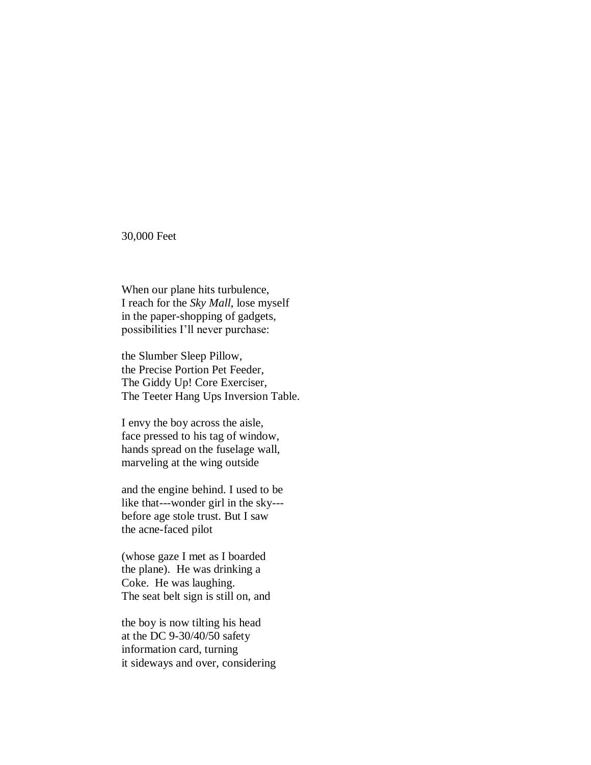30,000 Feet

When our plane hits turbulence, I reach for the *Sky Mall*, lose myself in the paper-shopping of gadgets, possibilities I'll never purchase:

the Slumber Sleep Pillow, the Precise Portion Pet Feeder, The Giddy Up! Core Exerciser, The Teeter Hang Ups Inversion Table.

I envy the boy across the aisle, face pressed to his tag of window, hands spread on the fuselage wall, marveling at the wing outside

and the engine behind. I used to be like that---wonder girl in the sky-- before age stole trust. But I saw the acne-faced pilot

(whose gaze I met as I boarded the plane). He was drinking a Coke. He was laughing. The seat belt sign is still on, and

the boy is now tilting his head at the DC 9-30/40/50 safety information card, turning it sideways and over, considering